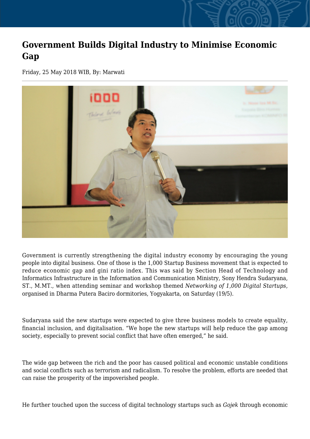## **Government Builds Digital Industry to Minimise Economic Gap**

Friday, 25 May 2018 WIB, By: Marwati



Government is currently strengthening the digital industry economy by encouraging the young people into digital business. One of those is the 1,000 Startup Business movement that is expected to reduce economic gap and gini ratio index. This was said by Section Head of Technology and Informatics Infrastructure in the Information and Communication Ministry, Sony Hendra Sudaryana, ST., M.MT., when attending seminar and workshop themed *Networking of 1,000 Digital Startups*, organised in Dharma Putera Baciro dormitories, Yogyakarta, on Saturday (19/5).

Sudaryana said the new startups were expected to give three business models to create equality, financial inclusion, and digitalisation. "We hope the new startups will help reduce the gap among society, especially to prevent social conflict that have often emerged," he said.

The wide gap between the rich and the poor has caused political and economic unstable conditions and social conflicts such as terrorism and radicalism. To resolve the problem, efforts are needed that can raise the prosperity of the impoverished people.

He further touched upon the success of digital technology startups such as *Gojek* through economic